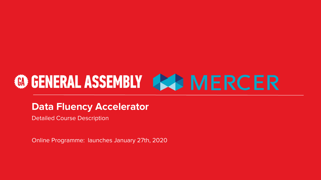# **@GENERAL ASSEMBLY 444 MERCER**

### **Data Fluency Accelerator**

Detailed Course Description

Online Programme: launches January 27th, 2020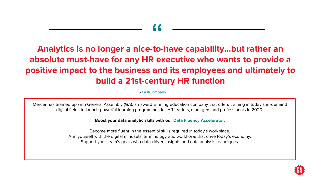## " **Analytics is no longer a nice-to-have capability...but rather an absolute must-have for any HR executive who wants to provide a positive impact to the business and its employees and ultimately to build a 21st-century HR function**

- [FastCompany](https://www.fastcompany.com/90357244/this-is-why-data-is-now-more-essential-than-ever-in-hr)

Mercer has teamed up with General Assembly (GA), an award winning education company that offers training in today's in-demand digital fields to launch powerful learning programmes for HR leaders, managers and professionals in 2020.

**Boost your data analytic skills with our Data Fluency Accelerator.**

Become more fluent in the essential skills required in today's workplace. Arm yourself with the digital mindsets, terminology and workflows that drive today's economy. Support your team's goals with data-driven insights and data analysis techniques.

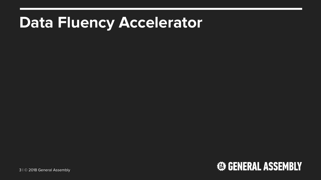## **Data Fluency Accelerator**

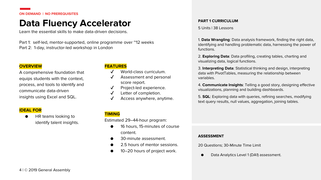**ON DEMAND | NO PREREQUISITES**

### **Data Fluency Accelerator**

Learn the essential skills to make data-driven decisions.

Part 1: self-led, mentor-supported, online programme over "12 weeks Part 2: 1-day, instructor-led workshop in London

#### **OVERVIEW**

A comprehensive foundation that equips students with the context, process, and tools to identify and communicate data-driven insights using Excel and SQL.

#### **IDEAL FOR**

HR teams looking to identify talent insights.

#### **FEATURES**

- World-class curriculum.
- Assessment and personal score report.
- Project-led experience.
- Letter of completion.
- Access anywhere, anytime.

#### **TIMING**

Estimated 29–44-hour program:

- 16 hours, 15-minutes of course content.
- 30-minute assessment.
- 2.5 hours of mentor sessions.
- 10–20 hours of project work.

#### **PART 1 CURRICULUM**

5 Units | 38 Lessons

1. **Data Wrangling**: Data analysis framework, finding the right data, identifying and handling problematic data, harnessing the power of functions.

2. **Exploring Data**: Data profiling, creating tables, charting and visualizing data, logical functions.

3. **Interpreting Data**: Statistical thinking and design, interpreting data with PivotTables, measuring the relationship between variables.

4. **Communicate Insights**: Telling a good story, designing effective visualizations, planning and building dashboards.

5. **SQL**: Exploring data with queries, refining searches, modifying text query results, null values, aggregation, joining tables.

#### **ASSESSMENT**

20 Questions; 30-Minute Time Limit

Data Analytics Level 1 (DA1) assessment.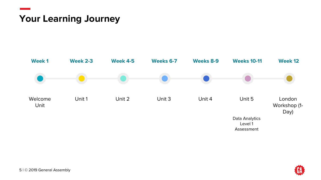### **Your Learning Journey**



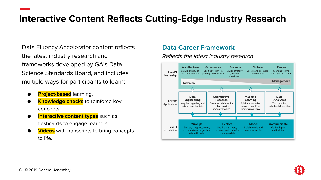### **Interactive Content Reflects Cutting-Edge Industry Research**

Data Fluency Accelerator content reflects the latest industry research and frameworks developed by GA's Data Science Standards Board, and includes multiple ways for participants to learn:

- **Project-based** learning.
- **Knowledge checks** to reinforce key concepts.
- **Interactive content types** such as flashcards to engage learners.
- **Videos** with transcripts to bring concepts to life.

#### **Data Career Framework**

*Reflects the latest industry research*.



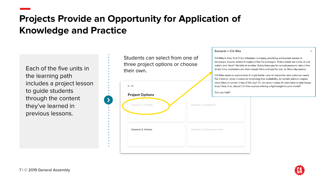### **Projects Provide an Opportunity for Application of Knowledge and Practice**

Each of the five units in the learning path includes a project lesson to guide students through the content they've learned in previous lessons.

| at any time; customers a<br>Citi Bike wants to explor<br>For instance, when it co |
|-----------------------------------------------------------------------------------|
| more bikes at certain tin<br>trips? And, if so, should                            |
| Can you help?                                                                     |
| Scenario 2: Superstore                                                            |
| Scenario 4: Choose Your Own                                                       |
|                                                                                   |

Students can select from one of three project options or choose



Citi Bike is New York City's bikeshare company, providing widespread access to temporary bicycle rentals throughout the five boroughs. Riders check out a bike at one station and "dock" the bike at another. Subscribers pay for annual passes to take a bike are more casual riders and pay for one- or three-day passes.

re how it might better cater to subscriber and customer needs. mes to improving bike availability, do certain stations require nes of the day? Or, do certain types of riders tend to take longer Citi Bike explore offering a lightweight bicycle model?

X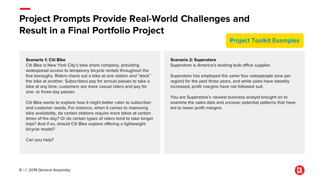### **Project Prompts Provide Real-World Challenges and Result in a Final Portfolio Project**

### **[Project Toolkit Examples](https://drive.google.com/open?id=1fs2j47GvLhG2lGVL1ix7qG6HSa7nakjv)**

#### **Scenario 1: Citi Bike**

Citi Bike is New York City's bike share company, providing widespread access to temporary bicycle rentals throughout the five boroughs. Riders check out a bike at one station and "dock" the bike at another. Subscribers pay for annual passes to take a bike at any time; customers are more casual riders and pay for one- or three-day passes.

Citi Bike wants to explore how it might better cater to subscriber and customer needs. For instance, when it comes to improving bike availability, do certain stations require more bikes at certain times of the day? Or do certain types of riders tend to take longer trips? And if so, should Citi Bike explore offering a lightweight bicycle model?

Can you help?

#### **Scenario 2: Superstore**

Superstore is America's leading bulk office supplier.

Superstore has employed the same four salespeople (one per region) for the past three years, and while sales have steadily increased, profit margins have not followed suit.

You are Superstore's newest business analyst brought on to examine the sales data and uncover potential patterns that have led to lower profit margins.

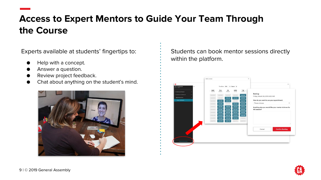### **Access to Expert Mentors to Guide Your Team Through the Course**

Experts available at students' fingertips to:

- Help with a concept.
- Answer a question.
- Review project feedback.
- Chat about anything on the student's mind.



Students can book mentor sessions directly within the platform.



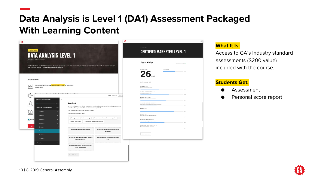### **Data Analysis is Level 1 (DA1) Assessment Packaged With Learning Content**

|                                                                                                                                                                                                                                                 | <b>DATA ANALYSIS LEVEL 1</b>                                                                                                                                                                                                                                                   |                                                                                                                                           | <b>CERTIFIED MARKETER LEVEL 1</b> |
|-------------------------------------------------------------------------------------------------------------------------------------------------------------------------------------------------------------------------------------------------|--------------------------------------------------------------------------------------------------------------------------------------------------------------------------------------------------------------------------------------------------------------------------------|-------------------------------------------------------------------------------------------------------------------------------------------|-----------------------------------|
| 20 quastions 1:30 Minute Tires Limit<br>_<br>_                                                                                                                                                                                                  | The Data Analysis Level 1 (DA1) assessment will test your proficiency across three topics: Databases, Spreadsheets, Statistics. The DA1 uses five stages of data                                                                                                               | Jean Kelly                                                                                                                                | Submitted January 17, 2019 C      |
| analysis: Frame, Analyze, Communicate, Prepare, and Interpret.                                                                                                                                                                                  |                                                                                                                                                                                                                                                                                | OVERALL SOORS<br>$26$ <sub>/45</sub>                                                                                                      | YOUR SCORE<br>$-69\%$             |
| <b>Important Rules</b>                                                                                                                                                                                                                          |                                                                                                                                                                                                                                                                                | Performance by Null                                                                                                                       |                                   |
| We recommend using a computer or laptop to take your<br>$ $ <sub>o</sub> $ $ <sub>0</sub><br>assessment.<br>ضت                                                                                                                                  |                                                                                                                                                                                                                                                                                | CALCULATE (4/10)<br>Combine data to determine results                                                                                     | 44%                               |
| contact the contract of the contact of the contact of the contact of the contact of the contact of the contact of the contact of the contact of the contact of the contact of the contact of the contact of the contact of the<br>$\mathcal{L}$ | 54:28 remaining                                                                                                                                                                                                                                                                | CHANNELS AND EXECUTION (6/9)<br>Garrier your researant to market<br>Finish As<br>CONCEPTIALIZE (14.131)                                   | 62%                               |
| $\equiv$<br>Certified Marketer Level 1<br>60 minutes   45 questions<br>8/4                                                                                                                                                                      | Question 6                                                                                                                                                                                                                                                                     | Understand and apply concepts in marketing<br>CONSUMER/OUSTOMER INSIGHT (3/4)<br>Understanding and advocating for consumer/pustomer needs | <b>CON</b>                        |
| - Consumer/Customer Insights<br>5/8<br>Question 1<br>×                                                                                                                                                                                          | You are branding a new line of baby toys and have questions about your competitors and target customers.<br>From where should you collect data to best answer each question?<br>(Click and drag items next to their matching questions.)<br>Drog and drop the following items. | CREATIVE (7/9)<br>Exinging compelling messages to life                                                                                    | 28%<br>78%                        |
| Question 2<br>Question 3<br><b>B</b> Lagreet                                                                                                                                                                                                    | Focus groups<br>Customer surveys<br>Personal research of media from competitors                                                                                                                                                                                                | INTERPRET (6/6)<br>Draw conclusions from data to make decisions<br>MARKETING TECHNOLOGY (S/9)<br>University disc range and use of marketh | 67%                               |
| Question 4<br>Begin As<br>Question 5                                                                                                                                                                                                            | A web analytics tool<br>Reports from research organizations                                                                                                                                                                                                                    | MEASUREMENT AND ANALYTICS (S/10)<br>Measuring and optimizing performance                                                                  | <b>FAN</b><br>EQ16                |
| Question 6                                                                                                                                                                                                                                      | What are the revenues of top brands?<br>What are the unique selling propositions of<br>tep brands?                                                                                                                                                                             | Go to Coursework                                                                                                                          |                                   |
| Question 7<br>Question 8                                                                                                                                                                                                                        | What are the product attributes that appeal to<br>How do customers feel about existing baby<br>the most customers?<br>toys?                                                                                                                                                    |                                                                                                                                           |                                   |
| + Creative<br>O/9                                                                                                                                                                                                                               | What are the main ways customers currently                                                                                                                                                                                                                                     |                                                                                                                                           |                                   |

#### **What It Is:**

Access to GA's industry standard assessments (\$200 value) included with the course.

#### **Students Get:**

- **Assessment**
- Personal score report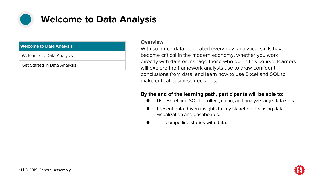

### **Welcome to Data Analysis**

#### **Welcome to Data Analysis**

Welcome to Data Analysis

Get Started in Data Analysis

#### **Overview**

With so much data generated every day, analytical skills have become critical in the modern economy, whether you work directly with data or manage those who do. In this course, learners will explore the framework analysts use to draw confident conclusions from data, and learn how to use Excel and SQL to make critical business decisions.

- Use Excel and SQL to collect, clean, and analyze large data sets.
- Present data-driven insights to key stakeholders using data visualization and dashboards.
- Tell compelling stories with data.

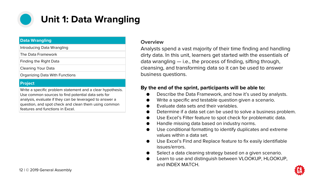

### **Unit 1: Data Wrangling**

#### **Data Wrangling**

| Introducing Data Wrangling |  |
|----------------------------|--|
| The Data Framework         |  |
| Finding the Right Data     |  |
|                            |  |

Cleaning Your Data

Organizing Data With Functions

#### **Project**

Write a specific problem statement and a clear hypothesis. Use common sources to find potential data sets for analysis, evaluate if they can be leveraged to answer a question, and spot check and clean them using common features and functions in Excel.

#### **Overview**

Analysts spend a vast majority of their time finding and handling dirty data. In this unit, learners get started with the essentials of data wrangling — i.e., the process of finding, sifting through, cleansing, and transforming data so it can be used to answer business questions.

- Describe the Data Framework, and how it's used by analysts.
- Write a specific and testable question given a scenario.
- Evaluate data sets and their variables.
- Determine if a data set can be used to solve a business problem.
- Use Excel's Filter feature to spot check for problematic data.
- Handle missing data based on industry norms.
- Use conditional formatting to identify duplicates and extreme values within a data set.
- Use Excel's Find and Replace feature to fix easily identifiable issues/errors.
- Select a data cleaning strategy based on a given scenario.
- Learn to use and distinguish between VLOOKUP, HLOOKUP, and INDEX MATCH.

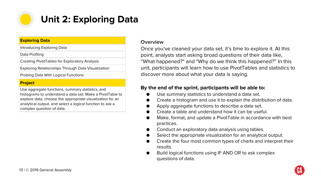

### **Unit 2: Exploring Data**

#### **Exploring Data**

Introducing Exploring Data

Data Profiling

Creating PivotTables for Exploratory Analysis

Exploring Relationships Through Data Visualization

Probing Data With Logical Functions

#### **Project**

Use aggregate functions, summary statistics, and histograms to understand a data set. Make a PivotTable to explore data, choose the appropriate visualization for an analytical output, and select a logical function to ask a complex question of data.

#### **Overview**

Once you've cleaned your data set, it's time to explore it. At this point, analysts start asking broad questions of their data like, "What happened?" and "Why do we think this happened?" In this unit, participants will learn how to use PivotTables and statistics to discover more about what your data is saying.

- Use summary statistics to understand a data set.
- Create a histogram and use it to explain the distribution of data.
- Apply aggregate functions to describe a data set.
- Create a table and understand how it can be useful.
- Make, format, and update a PivotTable in accordance with best practices.
- Conduct an exploratory data analysis using tables.
- Select the appropriate visualization for an analytical output.
- Create the four most common types of charts and interpret their results.
- Build logical functions using IF AND OR to ask complex questions of data.

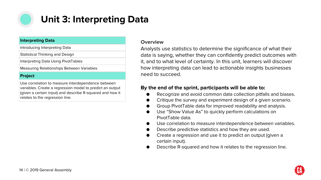

### **Unit 3: Interpreting Data**

#### **Interpreting Data**

Introducing Interpreting Data

Statistical Thinking and Design

Interpreting Data Using PivotTables

Measuring Relationships Between Variables

#### **Project**

Use correlation to measure interdependence between variables. Create a regression model to predict an output (given a certain input) and describe R-squared and how it relates to the regression line.

#### **Overview**

Analysts use statistics to determine the significance of what their data is saying, whether they can confidently predict outcomes with it, and to what level of certainty. In this unit, learners will discover how interpreting data can lead to actionable insights businesses need to succeed.

- Recognize and avoid common data collection pitfalls and biases.
- Critique the survey and experiment design of a given scenario.
- Group PivotTable data for improved readability and analysis.
- Use "Show Value As" to quickly perform calculations on PivotTable data.
- Use correlation to measure interdependence between variables.
- Describe predictive statistics and how they are used.
- Create a regression and use it to predict an output (given a certain input).
- Describe R-squared and how it relates to the regression line.

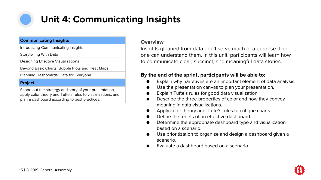

### **Unit 4: Communicating Insights**

#### **Communicating Insights**

Introducing Communicating Insights

Storytelling With Data

Designing Effective Visualizations

Beyond Basic Charts: Bubble Plots and Heat Maps

Planning Dashboards: Data for Everyone

#### **Project**

Scope out the strategy and story of your presentation, apply color theory and Tufte's rules to visualizations, and plan a dashboard according to best practices.

#### **Overview**

Insights gleaned from data don't serve much of a purpose if no one can understand them. In this unit, participants will learn how to communicate clear, succinct, and meaningful data stories.

- Explain why narratives are an important element of data analysis.
- Use the presentation canvas to plan your presentation.
- Explain Tufte's rules for good data visualization.
- Describe the three properties of color and how they convey meaning in data visualizations.
- Apply color theory and Tufte's rules to critique charts.
- Define the tenets of an effective dashboard.
- Determine the appropriate dashboard type and visualization based on a scenario.
- Use prioritization to organize and design a dashboard given a scenario.
- Evaluate a dashboard based on a scenario.

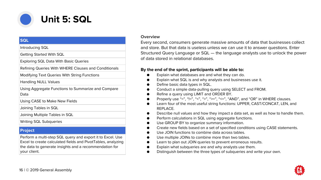

#### **SQL**

Introducing SQL

Getting Started With SQL

Exploring SQL Data With Basic Queries

Refining Queries With WHERE Clauses and Conditionals

Modifying Text Queries With String Functions

Handling NULL Values

Using Aggregate Functions to Summarize and Compare Data

Using CASE to Make New Fields

Joining Tables in SQL

Joining Multiple Tables in SQL

Writing SQL Subqueries

#### **Project**

Perform a multi-step SQL query and export it to Excel. Use Excel to create calculated fields and PivotTables, analyzing the data to generate insights and a recommendation for your client.

#### **Overview**

Every second, consumers generate massive amounts of data that businesses collect and store. But that data is useless unless we can use it to answer questions. Enter Structured Query Language or SQL — the language analysts use to unlock the power of data stored in relational databases.

- Explain what databases are and what they can do.
- Explain what SQL is and why analysts and businesses use it.
- Define basic data types in SQL.
- Conduct a simple data-pulling query using SELECT and FROM.
- Refine a query using LIMIT and ORDER BY.
- Properly use "=", "!=", "<", ">", ">=", "<=", "AND", and "OR" in WHERE clauses.
- Learn four of the most useful string functions: UPPER, CAST/CONCAT, LEN, and REPLACE.
- Describe null values and how they impact a data set, as well as how to handle them.
- Perform calculations in SQL using aggregate functions.
- Use GROUP BY to organize summary information.
- Create new fields based on a set of specified conditions using CASE statements.
- Use JOIN functions to combine data across tables.
- Use multiple JOINs to combine more than two tables.
- Learn to plan out JOIN queries to prevent erroneous results.
- Explain what subqueries are and why analysts use them.
- Distinguish between the three types of subqueries and write your own.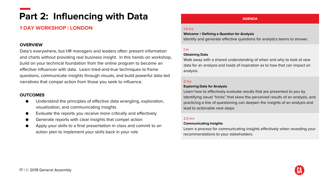## **Part 2: Influencing with Data**

#### **1 DAY WORKSHOP | LONDON**

#### **OVERVIEW**

Data's everywhere, but HR managers and leaders often present information and charts without providing real business insight. In this hands-on workshop, build on your technical foundation from the online program to become an effective influencer with data. Learn tried-and-true techniques to frame questions, communicate insights through visuals, and build powerful data-led narratives that compel action from those you seek to influence.

#### **OUTCOMES**

- Understand the principles of effective data wrangling, exploration, visualization, and communicating insights
- Evaluate the reports you receive more critically and effectively
- Generate reports with clear insights that compel action
- Apply your skills to a final presentation in class and commit to an action plan to implement your skills back in your role

#### **AGENDA**

#### 1.5 hrs

#### **Welcome + Defining a Question for Analysis**

Identify and generate effective questions for analytics teams to answer.

#### 1 hr

#### **Obtaining Data**

Walk away with a shared understanding of when and why to look at new data for an analysis and loads of inspiration as to how that can impact an analysis.

#### 2 hrs

#### **Exploring Data for Analysis**

Learn how to effectively evaluate results that are presented to you by identifying visual "tricks" that skew the perceived results of an analysis, and practicing a line of questioning can deepen the insights of an analysis and lead to actionable next steps.

#### 2.5 hrs

#### **Communicating Insights**

Learn a process for communicating insights effectively when revealing your recommendations to your stakeholders.

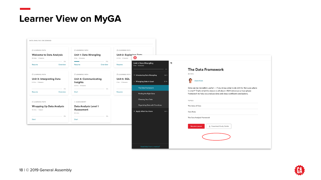### **Learner View on MyGA**